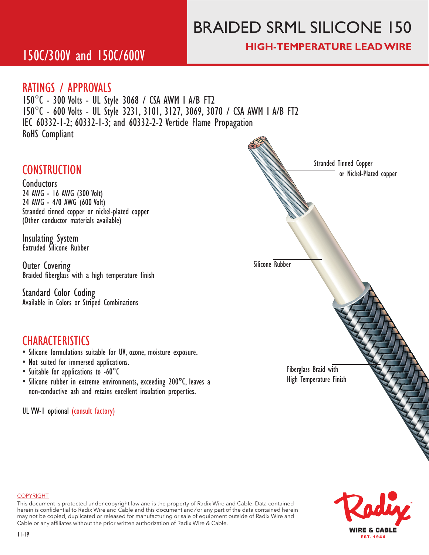# BRAIDED SRML SILICONE 150

### **HIGH-TEMPERATURE LEAD WIRE**

## 150C/300V and 150C/600V

### RATINGS / APPROVALS

150°C - 300 Volts - UL Style 3068 / CSA AWM I A/B FT2 150°C - 600 Volts - UL Style 3231, 3101, 3127, 3069, 3070 / CSA AWM I A/B FT2 IEC 60332-1-2; 60332-1-3; and 60332-2-2 Verticle Flame Propagation RoHS Compliant

### **CONSTRUCTION**

Conductors

24 AWG - 16 AWG (300 Volt) 24 AWG - 4/0 AWG (600 Volt) Stranded tinned copper or nickel-plated copper (Other conductor materials available)

Insulating System Extruded Silicone Rubber

Outer Covering Braided fiberglass with a high temperature finish

Standard Color Coding Available in Colors or Striped Combinations

### **CHARACTERISTICS**

- Silicone formulations suitable for UV, ozone, moisture exposure.
- Not suited for immersed applications.
- Suitable for applications to -60°C
- Silicone rubber in extreme environments, exceeding 200**�**C, leaves a non-conductive ash and retains excellent insulation properties.

UL VW-1 optional (consult factory)





#### COPYRIGHT

This document is protected under copyright law and is the property of Radix Wire and Cable. Data contained herein is confidential to Radix Wire and Cable and this document and / or any part of the data contained herein may not be copied, duplicated or released for manufacturing or sale of equipment outside of Radix Wire and Cable or any affiliates without the prior written authorization of Radix Wire & Cable.